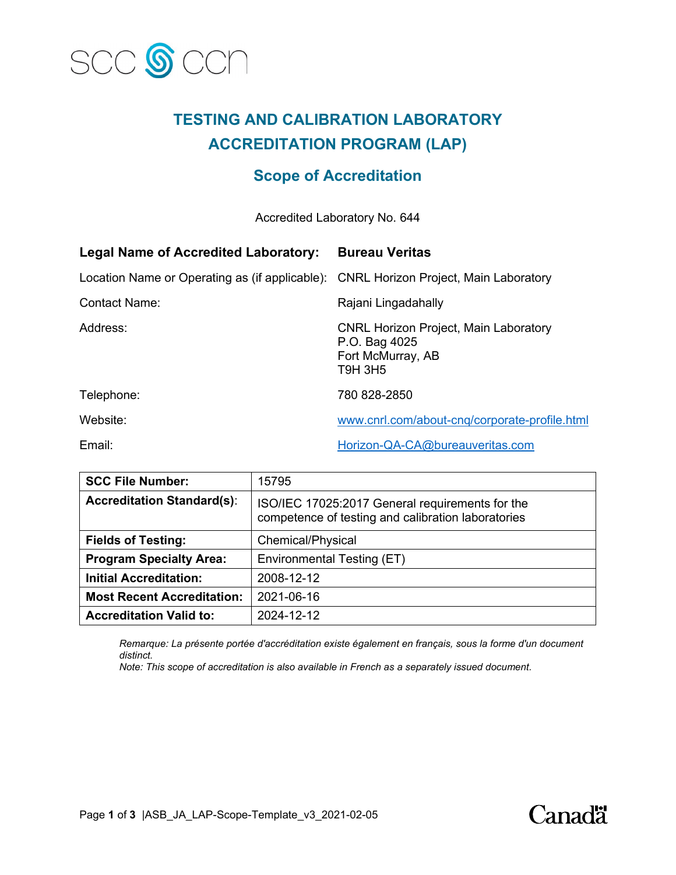

# **TESTING AND CALIBRATION LABORATORY ACCREDITATION PROGRAM (LAP)**

# **Scope of Accreditation**

Accredited Laboratory No. 644

| <b>Legal Name of Accredited Laboratory:</b>                                          | <b>Bureau Veritas</b>                                                                                |
|--------------------------------------------------------------------------------------|------------------------------------------------------------------------------------------------------|
| Location Name or Operating as (if applicable): CNRL Horizon Project, Main Laboratory |                                                                                                      |
| <b>Contact Name:</b>                                                                 | Rajani Lingadahally                                                                                  |
| Address:                                                                             | <b>CNRL Horizon Project, Main Laboratory</b><br>P.O. Bag 4025<br>Fort McMurray, AB<br><b>T9H 3H5</b> |
| Telephone:                                                                           | 780 828-2850                                                                                         |
| Website:                                                                             | www.cnrl.com/about-cng/corporate-profile.html                                                        |
| Email:                                                                               | Horizon-QA-CA@bureauveritas.com                                                                      |

| <b>SCC File Number:</b>           | 15795                                                                                                 |
|-----------------------------------|-------------------------------------------------------------------------------------------------------|
| <b>Accreditation Standard(s):</b> | ISO/IEC 17025:2017 General requirements for the<br>competence of testing and calibration laboratories |
| <b>Fields of Testing:</b>         | Chemical/Physical                                                                                     |
| <b>Program Specialty Area:</b>    | Environmental Testing (ET)                                                                            |
| <b>Initial Accreditation:</b>     | 2008-12-12                                                                                            |
| <b>Most Recent Accreditation:</b> | 2021-06-16                                                                                            |
| <b>Accreditation Valid to:</b>    | 2024-12-12                                                                                            |

*Remarque: La présente portée d'accréditation existe également en français, sous la forme d'un document distinct.*

*Note: This scope of accreditation is also available in French as a separately issued document.*

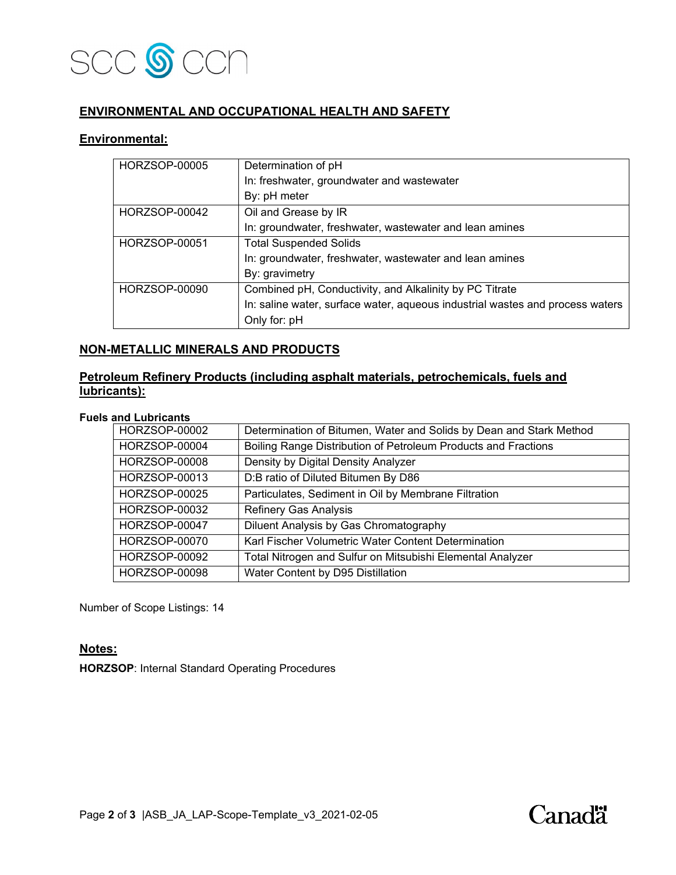

## **ENVIRONMENTAL AND OCCUPATIONAL HEALTH AND SAFETY**

#### **Environmental:**

| <b>HORZSOP-00005</b> | Determination of pH                                                           |
|----------------------|-------------------------------------------------------------------------------|
|                      | In: freshwater, groundwater and wastewater                                    |
|                      | By: pH meter                                                                  |
| HORZSOP-00042        | Oil and Grease by IR                                                          |
|                      | In: groundwater, freshwater, wastewater and lean amines                       |
| <b>HORZSOP-00051</b> | <b>Total Suspended Solids</b>                                                 |
|                      | In: groundwater, freshwater, wastewater and lean amines                       |
|                      | By: gravimetry                                                                |
| HORZSOP-00090        | Combined pH, Conductivity, and Alkalinity by PC Titrate                       |
|                      | In: saline water, surface water, aqueous industrial wastes and process waters |
|                      | Only for: pH                                                                  |

#### **NON-METALLIC MINERALS AND PRODUCTS**

### **Petroleum Refinery Products (including asphalt materials, petrochemicals, fuels and lubricants):**

#### **Fuels and Lubricants**

| HORZSOP-00002        | Determination of Bitumen, Water and Solids by Dean and Stark Method |
|----------------------|---------------------------------------------------------------------|
| HORZSOP-00004        | Boiling Range Distribution of Petroleum Products and Fractions      |
| <b>HORZSOP-00008</b> | Density by Digital Density Analyzer                                 |
| HORZSOP-00013        | D:B ratio of Diluted Bitumen By D86                                 |
| HORZSOP-00025        | Particulates, Sediment in Oil by Membrane Filtration                |
| HORZSOP-00032        | Refinery Gas Analysis                                               |
| HORZSOP-00047        | Diluent Analysis by Gas Chromatography                              |
| <b>HORZSOP-00070</b> | Karl Fischer Volumetric Water Content Determination                 |
| HORZSOP-00092        | Total Nitrogen and Sulfur on Mitsubishi Elemental Analyzer          |
| <b>HORZSOP-00098</b> | Water Content by D95 Distillation                                   |

Number of Scope Listings: 14

#### **Notes:**

**HORZSOP**: Internal Standard Operating Procedures